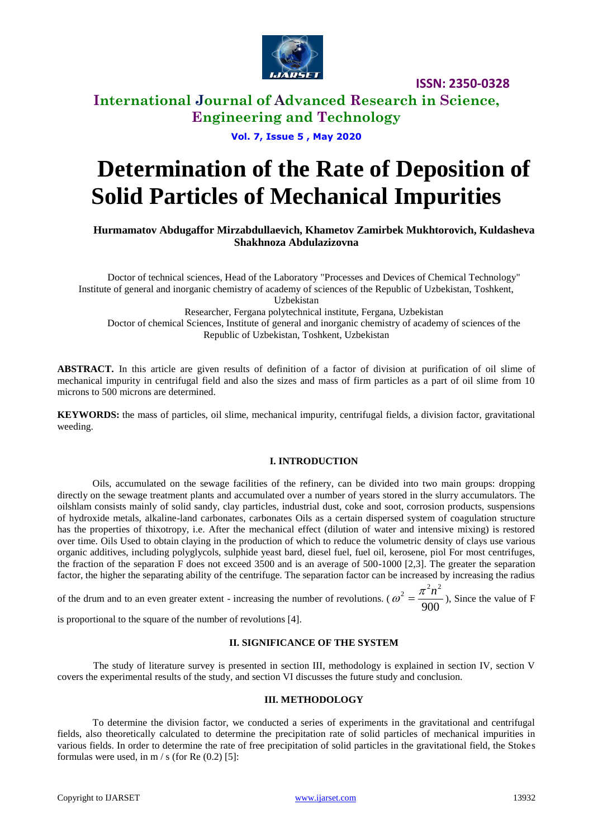

**ISSN: 2350-0328**

# **International Journal of Advanced Research in Science, Engineering and Technology**

## **Vol. 7, Issue 5 , May 2020**

# **Determination of the Rate of Deposition of Solid Particles of Mechanical Impurities**

## **Hurmamatov Abdugaffor Mirzabdullaevich, Khametov Zamirbek Mukhtorovich, Kuldasheva Shakhnoza Abdulazizovna**

Doctor of technical sciences, Head of the Laboratory "Processes and Devices of Chemical Technology" Institute of general and inorganic chemistry of academy of sciences of the Republic of Uzbekistan, Toshkent, Uzbekistan Researcher, Fergana polytechnical institute, Fergana, Uzbekistan Doctor of chemical Sciences, Institute of general and inorganic chemistry of academy of sciences of the Republic of Uzbekistan, Toshkent, Uzbekistan

**ABSTRACT.** In this article are given results of definition of a factor of division at purification of oil slime of mechanical impurity in centrifugal field and also the sizes and mass of firm particles as a part of oil slime from 10 microns to 500 microns are determined.

**KEYWORDS:** the mass of particles, oil slime, mechanical impurity, centrifugal fields, a division factor, gravitational weeding.

#### **I. INTRODUCTION**

Oils, accumulated on the sewage facilities of the refinery, can be divided into two main groups: dropping directly on the sewage treatment plants and accumulated over a number of years stored in the slurry accumulators. The oilshlam consists mainly of solid sandy, clay particles, industrial dust, coke and soot, corrosion products, suspensions of hydroxide metals, alkaline-land carbonates, carbonates Oils as a certain dispersed system of coagulation structure has the properties of thixotropy, i.e. After the mechanical effect (dilution of water and intensive mixing) is restored over time. Oils Used to obtain claying in the production of which to reduce the volumetric density of clays use various organic additives, including polyglycols, sulphide yeast bard, diesel fuel, fuel oil, kerosene, piol For most centrifuges, the fraction of the separation F does not exceed 3500 and is an average of 500-1000 [2,3]. The greater the separation factor, the higher the separating ability of the centrifuge. The separation factor can be increased by increasing the radius

of the drum and to an even greater extent - increasing the number of revolutions. ( $\omega^2 = \frac{1}{900}$  $\omega^2 = \frac{\pi^2 n^2}{2.28 \pi^2}$ , Since the value of F

is proportional to the square of the number of revolutions [4].

#### **II. SIGNIFICANCE OF THE SYSTEM**

The study of literature survey is presented in section III, methodology is explained in section IV, section V covers the experimental results of the study, and section VI discusses the future study and conclusion.

#### **III. METHODOLOGY**

To determine the division factor, we conducted a series of experiments in the gravitational and centrifugal fields, also theoretically calculated to determine the precipitation rate of solid particles of mechanical impurities in various fields. In order to determine the rate of free precipitation of solid particles in the gravitational field, the Stokes formulas were used, in  $m / s$  (for Re  $(0.2)$  [5]: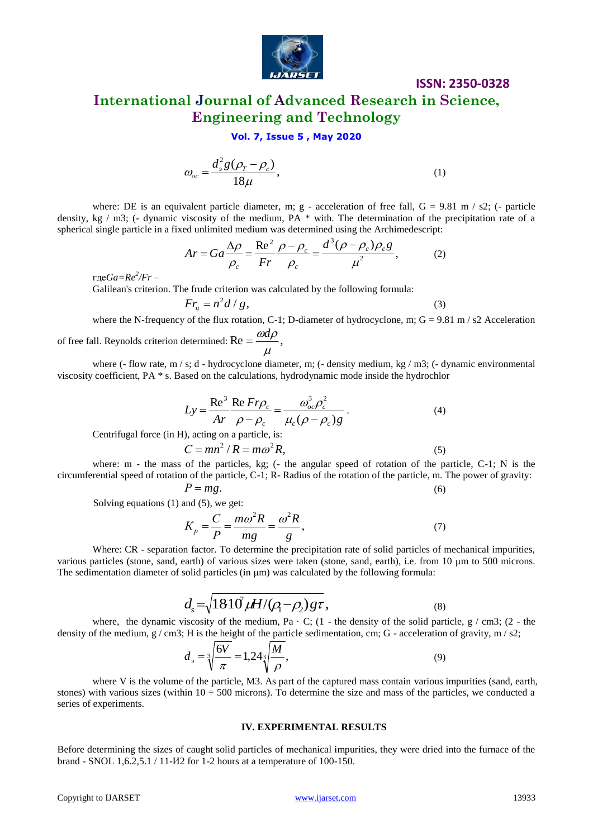

# **ISSN: 2350-0328 International Journal of Advanced Research in Science, Engineering and Technology**

## **Vol. 7, Issue 5 , May 2020**

$$
\omega_{oc} = \frac{d_s^2 g(\rho_T - \rho_c)}{18\mu},\tag{1}
$$

where: DE is an equivalent particle diameter, m; g - acceleration of free fall,  $G = 9.81$  m / s2; (- particle density, kg / m3; (- dynamic viscosity of the medium, PA \* with. The determination of the precipitation rate of a spherical single particle in a fixed unlimited medium was determined using the Archimedescript:

$$
Ar = Ga \frac{\Delta \rho}{\rho_c} = \frac{\text{Re}^2}{Fr} \frac{\rho - \rho_c}{\rho_c} = \frac{d^3(\rho - \rho_c)\rho_c g}{\mu^2},\tag{2}
$$

где*Ga=Re<sup>2</sup> /Fr* –

Galilean's criterion. The frude criterion was calculated by the following formula:

$$
Fr_{\mu} = n^2 d / g, \qquad (3)
$$

where the N-frequency of the flux rotation, C-1; D-diameter of hydrocyclone, m;  $G = 9.81$  m / s2 Acceleration

of free fall. Reynolds criterion determined: Re = 
$$
\frac{\omega d\rho}{\mu}
$$
,

where (- flow rate,  $m / s$ ; d - hydrocyclone diameter, m; (- density medium, kg / m3; (- dynamic environmental viscosity coefficient, PA \* s. Based on the calculations, hydrodynamic mode inside the hydrochlor

$$
Ly = \frac{\text{Re}^3}{Ar} \frac{\text{Re} \operatorname{Fr}\rho_c}{\rho - \rho_c} = \frac{\omega_{oc}^3 \rho_c^2}{\mu_c (\rho - \rho_c)g}.
$$
 (4)  
Centrifugal force (in H), acting on a particle, is:

 $C = mn^2 / R = m\omega^2 R$ , (5) where: m - the mass of the particles, kg; (- the angular speed of rotation of the particle, C-1; N is the

circumferential speed of rotation of the particle, C-1; R- Radius of the rotation of the particle, m. The power of gravity:  $P = mg$ . (6)

Solving equations (1) and (5), we get:

$$
K_p = \frac{C}{P} = \frac{m\omega^2 R}{mg} = \frac{\omega^2 R}{g},\tag{7}
$$

Where: CR - separation factor. To determine the precipitation rate of solid particles of mechanical impurities, various particles (stone, sand, earth) of various sizes were taken (stone, sand, earth), i.e. from 10 μm to 500 microns. The sedimentation diameter of solid particles (in  $\mu$ m) was calculated by the following formula:

$$
d_s = \sqrt{1810 \mu H/(\rho_1 - \rho_2) g \tau},\tag{8}
$$

where, the dynamic viscosity of the medium, Pa  $\cdot$  C; (1 - the density of the solid particle, g / cm3; (2 - the density of the medium,  $g / cm3$ ; H is the height of the particle sedimentation, cm; G - acceleration of gravity, m / s2;

$$
d_{\rho} = \sqrt[3]{\frac{6V}{\pi}} = 1,24\sqrt[3]{\frac{M}{\rho}},\tag{9}
$$

where V is the volume of the particle, M3. As part of the captured mass contain various impurities (sand, earth, stones) with various sizes (within  $10 \div 500$  microns). To determine the size and mass of the particles, we conducted a series of experiments.

#### **IV. EXPERIMENTAL RESULTS**

Before determining the sizes of caught solid particles of mechanical impurities, they were dried into the furnace of the brand - SNOL 1,6.2,5.1 / 11-И2 for 1-2 hours at a temperature of 100-150.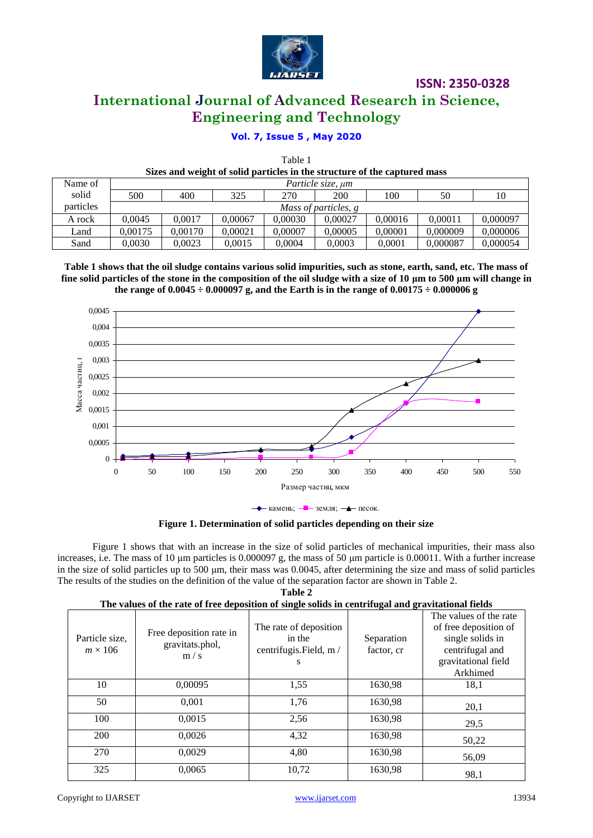

**ISSN: 2350-0328**

# **International Journal of Advanced Research in Science, Engineering and Technology**

# **Vol. 7, Issue 5 , May 2020**

Тable 1

| Sizes and weight of solid particles in the structure of the captured mass |                      |         |         |         |            |         |          |          |
|---------------------------------------------------------------------------|----------------------|---------|---------|---------|------------|---------|----------|----------|
| Name of                                                                   | Particle size, um    |         |         |         |            |         |          |          |
| solid                                                                     | 500                  | 400     | 325     | 270     | <b>200</b> | 100     | 50       | 10       |
| particles                                                                 | Mass of particles, g |         |         |         |            |         |          |          |
| A rock                                                                    | 0.0045               | 0.0017  | 0.00067 | 0.00030 | 0.00027    | 0.00016 | 0.00011  | 0,000097 |
| Land                                                                      | 0.00175              | 0.00170 | 0.00021 | 0.00007 | 0.00005    | 0.00001 | 0.000009 | 0,000006 |
| Sand                                                                      | 0.0030               | 0.0023  | 0.0015  | 0.0004  | 0.0003     | 0.0001  | 0.000087 | 0.000054 |

**Table 1 shows that the oil sludge contains various solid impurities, such as stone, earth, sand, etc. The mass of fine solid particles of the stone in the composition of the oil sludge with a size of 10 μm to 500 μm will change in**  the range of  $0.0045 \div 0.000097$  g, and the Earth is in the range of  $0.00175 \div 0.000006$  g



 $\rightarrow$  камень;  $\rightarrow$  земля;  $\rightarrow$  песок.

**Figure 1. Determination of solid particles depending on their size**

Figure 1 shows that with an increase in the size of solid particles of mechanical impurities, their mass also increases, i.e. The mass of 10 μm particles is 0.000097 g, the mass of 50 μm particle is 0.00011. With a further increase in the size of solid particles up to 500 μm, their mass was 0.0045, after determining the size and mass of solid particles The results of the studies on the definition of the value of the separation factor are shown in Table 2.

|  | <b>Table 2</b> |  |  |
|--|----------------|--|--|
|  |                |  |  |

| The values of the rate of free deposition of single solids in centrifugal and gravitational fields |                                                   |                                                                  |                          |                                                                                                                           |  |  |
|----------------------------------------------------------------------------------------------------|---------------------------------------------------|------------------------------------------------------------------|--------------------------|---------------------------------------------------------------------------------------------------------------------------|--|--|
| Particle size.<br>$m \times 106$                                                                   | Free deposition rate in<br>gravitats.phol,<br>m/s | The rate of deposition<br>in the<br>centrifugis. Field, m /<br>s | Separation<br>factor, cr | The values of the rate<br>of free deposition of<br>single solids in<br>centrifugal and<br>gravitational field<br>Arkhimed |  |  |
| 10                                                                                                 | 0,00095                                           | 1,55                                                             | 1630,98                  | 18,1                                                                                                                      |  |  |
| 50                                                                                                 | 0,001                                             | 1,76                                                             | 1630,98                  | 20,1                                                                                                                      |  |  |
| 100                                                                                                | 0,0015                                            | 2,56                                                             | 1630,98                  | 29,5                                                                                                                      |  |  |
| 200                                                                                                | 0,0026                                            | 4,32                                                             | 1630,98                  | 50,22                                                                                                                     |  |  |
| 270                                                                                                | 0.0029                                            | 4,80                                                             | 1630,98                  | 56,09                                                                                                                     |  |  |
| 325                                                                                                | 0,0065                                            | 10,72                                                            | 1630,98                  | 98,1                                                                                                                      |  |  |

**The values of the rate of free deposition of single solids in centrifugal and gravitational fields**